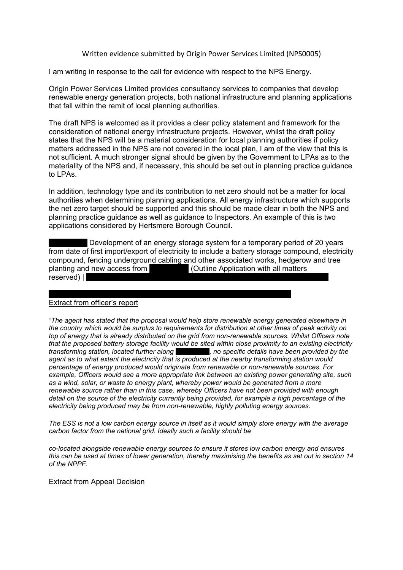Written evidence submitted by Origin Power Services Limited (NPS0005)

I am writing in response to the call for evidence with respect to the NPS Energy.

Origin Power Services Limited provides consultancy services to companies that develop renewable energy generation projects, both national infrastructure and planning applications that fall within the remit of local planning authorities.

The draft NPS is welcomed as it provides a clear policy statement and framework for the consideration of national energy infrastructure projects. However, whilst the draft policy states that the NPS will be a material consideration for local planning authorities if policy matters addressed in the NPS are not covered in the local plan, I am of the view that this is not sufficient. A much stronger signal should be given by the Government to LPAs as to the materiality of the NPS and, if necessary, this should be set out in planning practice guidance to LPAs.

In addition, technology type and its contribution to net zero should not be a matter for local authorities when determining planning applications. All energy infrastructure which supports the net zero target should be supported and this should be made clear in both the NPS and planning practice guidance as well as guidance to Inspectors. An example of this is two applications considered by Hertsmere Borough Council.

Development of an energy storage system for a temporary period of 20 years from date of first import/export of electricity to include a battery storage compound, electricity compound, fencing underground cabling and other associated works, hedgerow and tree planting and new access from vvivors (Outline Application with all matters  $reserved)$ |

## Extract from officer's report

*"The agent has stated that the proposal would help store renewable energy generated elsewhere in the country which would be surplus to requirements for distribution at other times of peak activity on top of energy that is already distributed on the grid from non-renewable sources. Whilst Officers note that the proposed battery storage facility would be sited within close proximity to an existing electricity transforming station, located further along xxxxxxxxxx, no specific details have been provided by the agent as to what extent the electricity that is produced at the nearby transforming station would percentage of energy produced would originate from renewable or non-renewable sources. For example, Officers would see a more appropriate link between an existing power generating site, such as a wind, solar, or waste to energy plant, whereby power would be generated from a more renewable source rather than in this case, whereby Officers have not been provided with enough detail on the source of the electricity currently being provided, for example a high percentage of the electricity being produced may be from non-renewable, highly polluting energy sources.*

The ESS is not a low carbon energy source in itself as it would simply store energy with the average *carbon factor from the national grid. Ideally such a facility should be*

*co-located alongside renewable energy sources to ensure it stores low carbon energy and ensures* this can be used at times of lower generation, thereby maximising the benefits as set out in section 14 *of the NPPF.*

## Extract from Appeal Decision